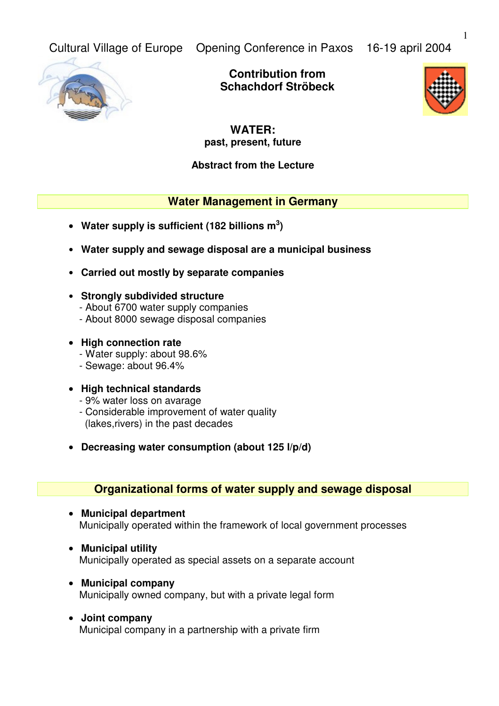Cultural Village of Europe Opening Conference in Paxos 16-19 april 2004

**Contribution from Schachdorf Ströbeck**



# **WATER: past, present, future**

# **Abstract from the Lecture**

# **Water Management in Germany**

- **Water supply is sufficient (182 billions m 3 )**
- • **Water supply and sewage disposal are a municipal business**
- • **Carried out mostly by separate companies**
- • **Strongly subdivided structure**
	- About 6700 water supply companies
	- About 8000 sewage disposal companies
- **High connection rate**
	- Water supply: about 98.6%
	- Sewage: about 96.4%

### • **High technical standards**

- 9% water loss on avarage
- Considerable improvement of water quality (lakes,rivers) in the past decades
- **Decreasing water consumption (about 125 l/p/d)**

# **Organizational forms of water supply and sewage disposal**

- **Municipal department** Municipally operated within the framework of local government processes
- **Municipal utility** Municipally operated as special assets on a separate account
- **Municipal company** Municipally owned company, but with a private legal form
- **Joint company** Municipal company in a partnership with a private firm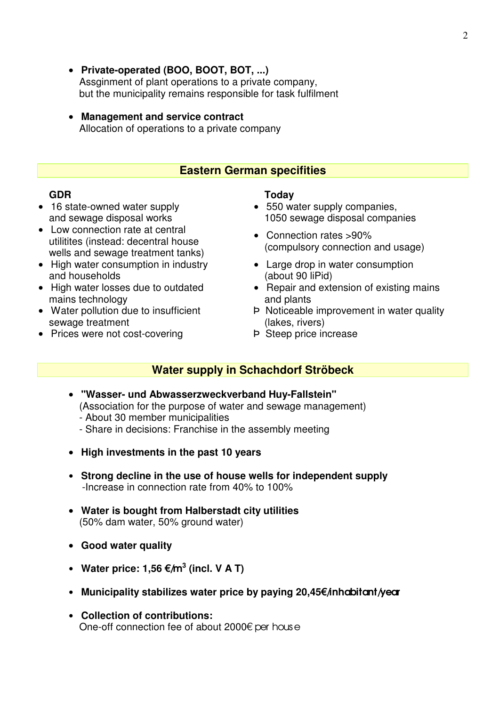- **Private-operated (BOO, BOOT, BOT, ...)** Assginment of plant operations to a private company, but the municipality remains responsible for task fulfilment
- **Management and service contract** Allocation of operations to a private company

### **Eastern German specifities**

- 16 state-owned water supply and sewage disposal works
- Low connection rate at central utilitites (instead: decentral house wells and sewage treatment tanks)
- High water consumption in industry and households
- High water losses due to outdated mains technology
- Water pollution due to insufficient sewage treatment
- Prices were not cost-covering **P** Steep price increase

### **GDR Today**

- 550 water supply companies, 1050 sewage disposal companies
- Connection rates >90% (compulsory connection and usage)
- Large drop in water consumption (about 90 liPid)
- Repair and extension of existing mains and plants
- Þ Noticeable improvement in water quality (lakes, rivers)
- 

# **Water supply in Schachdorf Ströbeck**

- **"Wasser- und Abwasserzweckverband Huy-Fallstein"**  (Association for the purpose of water and sewage management)
	- About 30 member municipalities
	- Share in decisions: Franchise in the assembly meeting
- **High investments in the past 10 years**
- • **Strong decline in the use of house wells for independent supply** -Increase in connection rate from 40% to 100%
- **Water is bought from Halberstadt city utilities**  (50% dam water, 50% ground water)
- **Good water quality**
- Water price:  $1,56 \in \text{/m}^3$  (incl. V A T)
- Municipality stabilizes water price by paying 20,45€/inhabitant/year
- • **Collection of contributions:** One-off connection fee of about 2000€ per house